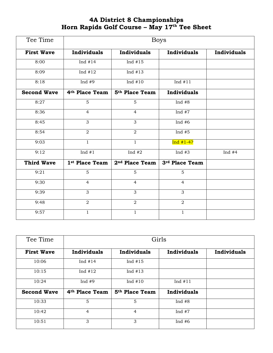## **4A District 8 Championships Horn Rapids Golf Course – May 17 th Tee Sheet**

| Tee Time           | <b>Boys</b>                |                            |                    |             |  |
|--------------------|----------------------------|----------------------------|--------------------|-------------|--|
| <b>First Wave</b>  | Individuals                | Individuals                | Individuals        | Individuals |  |
| 8:00               | Ind $#14$                  | Ind $#15$                  |                    |             |  |
| 8:09               | Ind $#12$                  | Ind $#13$                  |                    |             |  |
| 8:18               | Ind $#9$                   | Ind $#10$                  | Ind $#11$          |             |  |
| <b>Second Wave</b> | 4 <sup>th</sup> Place Team | 5 <sup>th</sup> Place Team | <b>Individuals</b> |             |  |
| 8:27               | 5                          | 5                          | Ind $#8$           |             |  |
| 8:36               | $\overline{4}$             | $\overline{4}$             | Ind $#7$           |             |  |
| 8:45               | 3                          | 3                          | Ind $#6$           |             |  |
| 8:54               | $\overline{2}$             | $\overline{2}$             | Ind $#5$           |             |  |
| 9:03               | $\overline{1}$             | $\mathbf{1}$               | $Ind #1-4?$        |             |  |
| 9:12               | Ind $#1$                   | Ind $#2$                   | Ind $#3$           | Ind $#4$    |  |
| <b>Third Wave</b>  | 1st Place Team             | 2 <sup>nd</sup> Place Team | 3rd Place Team     |             |  |
| 9:21               | $\overline{5}$             | $\overline{5}$             | $\overline{5}$     |             |  |
| 9:30               | 4                          | $\overline{4}$             | 4                  |             |  |
| 9:39               | 3                          | 3                          | 3                  |             |  |
| 9:48               | $\overline{2}$             | $\overline{a}$             | $\overline{2}$     |             |  |
| 9:57               | $\mathbf{1}$               | $\mathbf{1}$               | $\mathbf{1}$       |             |  |

| Tee Time           | Girls                      |                            |                    |             |  |
|--------------------|----------------------------|----------------------------|--------------------|-------------|--|
| <b>First Wave</b>  | Individuals                | Individuals                | <b>Individuals</b> | Individuals |  |
| 10:06              | Ind $#14$                  | Ind $#15$                  |                    |             |  |
| 10:15              | Ind $#12$                  | Ind $#13$                  |                    |             |  |
| 10:24              | Ind $#9$                   | Ind $#10$                  | Ind $#11$          |             |  |
| <b>Second Wave</b> | 4 <sup>th</sup> Place Team | 5 <sup>th</sup> Place Team | <b>Individuals</b> |             |  |
| 10:33              | 5                          | 5                          | Ind $#8$           |             |  |
| 10:42              | $\overline{4}$             | $\overline{4}$             | Ind $#7$           |             |  |
| 10:51              | 3                          | 3                          | Ind $#6$           |             |  |